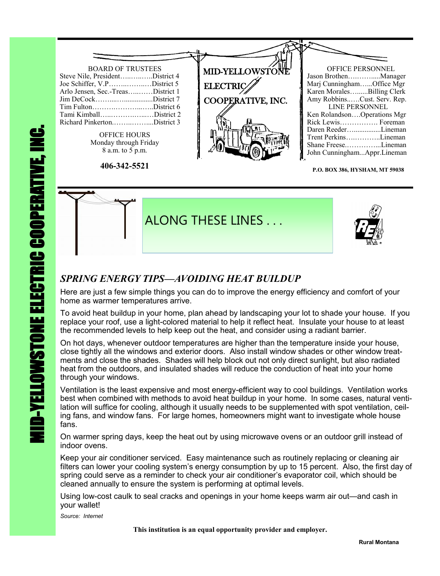

**P.O. BOX 386, HYSHAM, MT 59038**



### *SPRING ENERGY TIPS—AVOIDING HEAT BUILDUP*

Here are just a few simple things you can do to improve the energy efficiency and comfort of your home as warmer temperatures arrive.

To avoid heat buildup in your home, plan ahead by landscaping your lot to shade your house. If you replace your roof, use a light-colored material to help it reflect heat. Insulate your house to at least the recommended levels to help keep out the heat, and consider using a radiant barrier.

On hot days, whenever outdoor temperatures are higher than the temperature inside your house, close tightly all the windows and exterior doors. Also install window shades or other window treatments and close the shades. Shades will help block out not only direct sunlight, but also radiated heat from the outdoors, and insulated shades will reduce the conduction of heat into your home through your windows.

Ventilation is the least expensive and most energy-efficient way to cool buildings. Ventilation works best when combined with methods to avoid heat buildup in your home. In some cases, natural ventilation will suffice for cooling, although it usually needs to be supplemented with spot ventilation, ceiling fans, and window fans. For large homes, homeowners might want to investigate whole house fans.

On warmer spring days, keep the heat out by using microwave ovens or an outdoor grill instead of indoor ovens.

Keep your air conditioner serviced. Easy maintenance such as routinely replacing or cleaning air filters can lower your cooling system's energy consumption by up to 15 percent. Also, the first day of spring could serve as a reminder to check your air conditioner's evaporator coil, which should be cleaned annually to ensure the system is performing at optimal levels.

Using low-cost caulk to seal cracks and openings in your home keeps warm air out—and cash in your wallet!

*Source: Internet*

 **This institution is an equal opportunity provider and employer.**